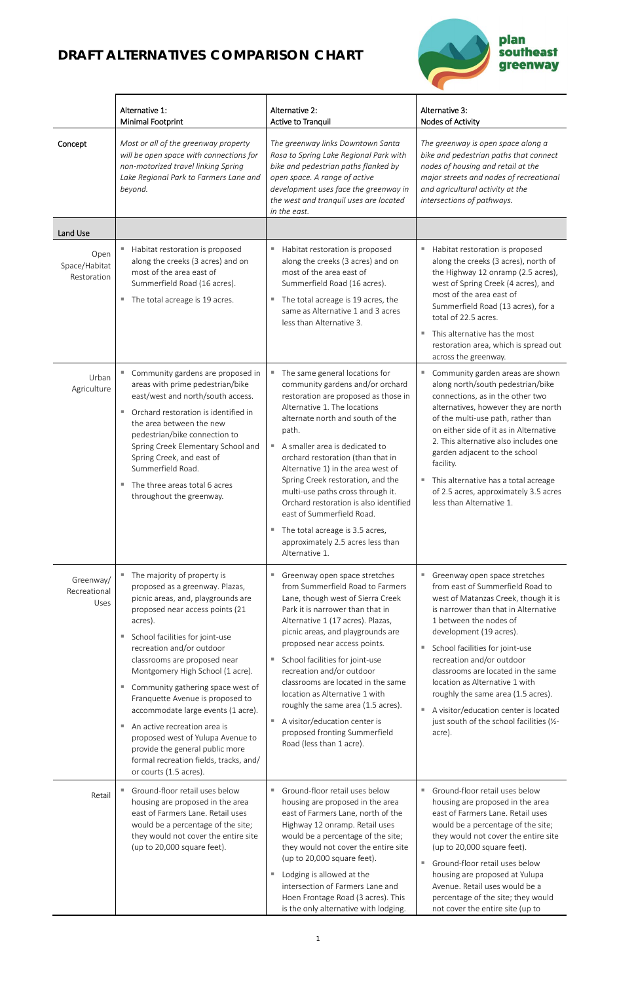Е



|                                      | Alternative 1:<br><b>Minimal Footprint</b>                                                                                                                                                                                                                                                                                                                                                                                                                                                                                                                                                                                                                          | Alternative 2:<br><b>Active to Tranquil</b>                                                                                                                                                                                                                                                                                                                                                                                                                                                                                                                       | Alternative 3:<br>Nodes of Activity                                                                                                                                                                                                                                                                                                                                                                                                                                                       |
|--------------------------------------|---------------------------------------------------------------------------------------------------------------------------------------------------------------------------------------------------------------------------------------------------------------------------------------------------------------------------------------------------------------------------------------------------------------------------------------------------------------------------------------------------------------------------------------------------------------------------------------------------------------------------------------------------------------------|-------------------------------------------------------------------------------------------------------------------------------------------------------------------------------------------------------------------------------------------------------------------------------------------------------------------------------------------------------------------------------------------------------------------------------------------------------------------------------------------------------------------------------------------------------------------|-------------------------------------------------------------------------------------------------------------------------------------------------------------------------------------------------------------------------------------------------------------------------------------------------------------------------------------------------------------------------------------------------------------------------------------------------------------------------------------------|
| Concept                              | Most or all of the greenway property<br>will be open space with connections for<br>non-motorized travel linking Spring<br>Lake Regional Park to Farmers Lane and<br>beyond.                                                                                                                                                                                                                                                                                                                                                                                                                                                                                         | The greenway links Downtown Santa<br>Rosa to Spring Lake Regional Park with<br>bike and pedestrian paths flanked by<br>open space. A range of active<br>development uses face the greenway in<br>the west and tranquil uses are located<br>in the east.                                                                                                                                                                                                                                                                                                           | The greenway is open space along a<br>bike and pedestrian paths that connect<br>nodes of housing and retail at the<br>major streets and nodes of recreational<br>and agricultural activity at the<br>intersections of pathways.                                                                                                                                                                                                                                                           |
| Land Use                             |                                                                                                                                                                                                                                                                                                                                                                                                                                                                                                                                                                                                                                                                     |                                                                                                                                                                                                                                                                                                                                                                                                                                                                                                                                                                   |                                                                                                                                                                                                                                                                                                                                                                                                                                                                                           |
| Open<br>Space/Habitat<br>Restoration | Habitat restoration is proposed<br>ш<br>along the creeks (3 acres) and on<br>most of the area east of<br>Summerfield Road (16 acres).<br>The total acreage is 19 acres.<br>$\mathcal{L}_{\mathcal{A}}$                                                                                                                                                                                                                                                                                                                                                                                                                                                              | Habitat restoration is proposed<br>along the creeks (3 acres) and on<br>most of the area east of<br>Summerfield Road (16 acres).<br>The total acreage is 19 acres, the<br>ш<br>same as Alternative 1 and 3 acres<br>less than Alternative 3.                                                                                                                                                                                                                                                                                                                      | Habitat restoration is proposed<br>along the creeks (3 acres), north of<br>the Highway 12 onramp (2.5 acres),<br>west of Spring Creek (4 acres), and<br>most of the area east of<br>Summerfield Road (13 acres), for a<br>total of 22.5 acres.<br>This alternative has the most<br>restoration area, which is spread out<br>across the greenway.                                                                                                                                          |
| Urban<br>Agriculture                 | Community gardens are proposed in<br>ш<br>areas with prime pedestrian/bike<br>east/west and north/south access.<br>Orchard restoration is identified in<br>ш<br>the area between the new<br>pedestrian/bike connection to<br>Spring Creek Elementary School and<br>Spring Creek, and east of<br>Summerfield Road.<br>The three areas total 6 acres<br>ш<br>throughout the greenway.                                                                                                                                                                                                                                                                                 | The same general locations for<br>$\mathbb{R}^n$<br>community gardens and/or orchard<br>restoration are proposed as those in<br>Alternative 1. The locations<br>alternate north and south of the<br>path.<br>A smaller area is dedicated to<br>orchard restoration (than that in<br>Alternative 1) in the area west of<br>Spring Creek restoration, and the<br>multi-use paths cross through it.<br>Orchard restoration is also identified<br>east of Summerfield Road.<br>The total acreage is 3.5 acres,<br>approximately 2.5 acres less than<br>Alternative 1. | Community garden areas are shown<br>ш<br>along north/south pedestrian/bike<br>connections, as in the other two<br>alternatives, however they are north<br>of the multi-use path, rather than<br>on either side of it as in Alternative<br>2. This alternative also includes one<br>garden adjacent to the school<br>facility.<br>This alternative has a total acreage<br>ш<br>of 2.5 acres, approximately 3.5 acres<br>less than Alternative 1.                                           |
| Greenway/<br>Recreational<br>Uses    | The majority of property is<br><b>College</b><br>proposed as a greenway. Plazas,<br>picnic areas, and, playgrounds are<br>proposed near access points (21<br>acres).<br>School facilities for joint-use<br>ш<br>recreation and/or outdoor<br>classrooms are proposed near<br>Montgomery High School (1 acre).<br>Community gathering space west of<br>$\overline{\phantom{a}}$<br>Franquette Avenue is proposed to<br>accommodate large events (1 acre).<br>An active recreation area is<br>$\mathcal{L}_{\mathcal{A}}$<br>proposed west of Yulupa Avenue to<br>provide the general public more<br>formal recreation fields, tracks, and/<br>or courts (1.5 acres). | Greenway open space stretches<br>ш<br>from Summerfield Road to Farmers<br>Lane, though west of Sierra Creek<br>Park it is narrower than that in<br>Alternative 1 (17 acres). Plazas,<br>picnic areas, and playgrounds are<br>proposed near access points.<br>School facilities for joint-use<br>ш<br>recreation and/or outdoor<br>classrooms are located in the same<br>location as Alternative 1 with<br>roughly the same area (1.5 acres).<br>A visitor/education center is<br>ш<br>proposed fronting Summerfield<br>Road (less than 1 acre).                   | Greenway open space stretches<br>ш<br>from east of Summerfield Road to<br>west of Matanzas Creek, though it is<br>is narrower than that in Alternative<br>1 between the nodes of<br>development (19 acres).<br>School facilities for joint-use<br>recreation and/or outdoor<br>classrooms are located in the same<br>location as Alternative 1 with<br>roughly the same area (1.5 acres).<br>A visitor/education center is located<br>just south of the school facilities (1/2-<br>acre). |
| Retail                               | Ground-floor retail uses below<br>housing are proposed in the area<br>east of Farmers Lane. Retail uses<br>would be a percentage of the site;<br>they would not cover the entire site<br>(up to 20,000 square feet).                                                                                                                                                                                                                                                                                                                                                                                                                                                | Ground-floor retail uses below<br>a.<br>housing are proposed in the area<br>east of Farmers Lane, north of the<br>Highway 12 onramp. Retail uses<br>would be a percentage of the site;<br>they would not cover the entire site<br>(up to 20,000 square feet).<br>Lodging is allowed at the<br>ш<br>intersection of Farmers Lane and<br>Hoen Frontage Road (3 acres). This<br>is the only alternative with lodging.                                                                                                                                                | Ground-floor retail uses below<br>housing are proposed in the area<br>east of Farmers Lane. Retail uses<br>would be a percentage of the site;<br>they would not cover the entire site<br>(up to 20,000 square feet).<br>Ground-floor retail uses below<br>housing are proposed at Yulupa<br>Avenue. Retail uses would be a<br>percentage of the site; they would<br>not cover the entire site (up to                                                                                      |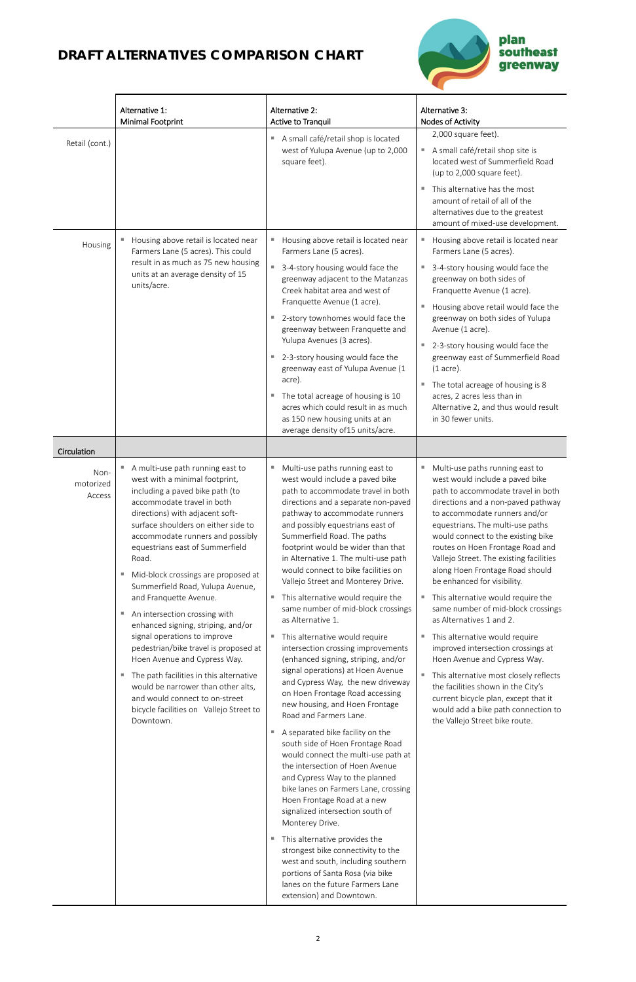

|                                            | Alternative 1:<br><b>Minimal Footprint</b>                                                                                                                                                                                                                                                                                                                                                                                                                                                                                                                                                                                                                                                                                                                        | Alternative 2:<br>Active to Tranquil                                                                                                                                                                                                                                                                                                                                                                                                                                                                                                                                                                                                                                                                                                                                                                                 | Alternative 3:<br>Nodes of Activity                                                                                                                                                                                                                                                                                                                                                                                                                                                                                                                                                                                                                                                                                                                                                                                        |
|--------------------------------------------|-------------------------------------------------------------------------------------------------------------------------------------------------------------------------------------------------------------------------------------------------------------------------------------------------------------------------------------------------------------------------------------------------------------------------------------------------------------------------------------------------------------------------------------------------------------------------------------------------------------------------------------------------------------------------------------------------------------------------------------------------------------------|----------------------------------------------------------------------------------------------------------------------------------------------------------------------------------------------------------------------------------------------------------------------------------------------------------------------------------------------------------------------------------------------------------------------------------------------------------------------------------------------------------------------------------------------------------------------------------------------------------------------------------------------------------------------------------------------------------------------------------------------------------------------------------------------------------------------|----------------------------------------------------------------------------------------------------------------------------------------------------------------------------------------------------------------------------------------------------------------------------------------------------------------------------------------------------------------------------------------------------------------------------------------------------------------------------------------------------------------------------------------------------------------------------------------------------------------------------------------------------------------------------------------------------------------------------------------------------------------------------------------------------------------------------|
| Retail (cont.)                             |                                                                                                                                                                                                                                                                                                                                                                                                                                                                                                                                                                                                                                                                                                                                                                   | A small café/retail shop is located<br>west of Yulupa Avenue (up to 2,000<br>square feet).                                                                                                                                                                                                                                                                                                                                                                                                                                                                                                                                                                                                                                                                                                                           | 2,000 square feet).<br>A small café/retail shop site is<br>located west of Summerfield Road<br>(up to 2,000 square feet).<br>This alternative has the most<br>amount of retail of all of the<br>alternatives due to the greatest<br>amount of mixed-use development.                                                                                                                                                                                                                                                                                                                                                                                                                                                                                                                                                       |
| Housing                                    | Housing above retail is located near<br>Farmers Lane (5 acres). This could<br>result in as much as 75 new housing<br>units at an average density of 15<br>units/acre.                                                                                                                                                                                                                                                                                                                                                                                                                                                                                                                                                                                             | Housing above retail is located near<br>Farmers Lane (5 acres).<br>■ 3-4-story housing would face the<br>greenway adjacent to the Matanzas<br>Creek habitat area and west of<br>Franquette Avenue (1 acre).<br>2-story townhomes would face the<br>×.<br>greenway between Franquette and<br>Yulupa Avenues (3 acres).<br>■ 2-3-story housing would face the<br>greenway east of Yulupa Avenue (1<br>acre).<br>The total acreage of housing is 10<br>acres which could result in as much<br>as 150 new housing units at an<br>average density of 15 units/acre.                                                                                                                                                                                                                                                       | Housing above retail is located near<br>ш<br>Farmers Lane (5 acres).<br>3-4-story housing would face the<br>greenway on both sides of<br>Franquette Avenue (1 acre).<br>Housing above retail would face the<br>greenway on both sides of Yulupa<br>Avenue (1 acre).<br>2-3-story housing would face the<br>ш<br>greenway east of Summerfield Road<br>$(1$ acre).<br>The total acreage of housing is 8<br>д<br>acres, 2 acres less than in<br>Alternative 2, and thus would result<br>in 30 fewer units.                                                                                                                                                                                                                                                                                                                    |
| Circulation<br>Non-<br>motorized<br>Access | A multi-use path running east to<br>west with a minimal footprint,<br>including a paved bike path (to<br>accommodate travel in both<br>directions) with adjacent soft-<br>surface shoulders on either side to<br>accommodate runners and possibly<br>equestrians east of Summerfield<br>Road.<br>Mid-block crossings are proposed at<br>Summerfield Road, Yulupa Avenue,<br>and Franquette Avenue.<br>An intersection crossing with<br>enhanced signing, striping, and/or<br>signal operations to improve<br>pedestrian/bike travel is proposed at<br>Hoen Avenue and Cypress Way.<br>The path facilities in this alternative<br>ш<br>would be narrower than other alts,<br>and would connect to on-street<br>bicycle facilities on Vallejo Street to<br>Downtown | Multi-use paths running east to<br>ш<br>west would include a paved bike<br>path to accommodate travel in both<br>directions and a separate non-paved<br>pathway to accommodate runners<br>and possibly equestrians east of<br>Summerfield Road. The paths<br>footprint would be wider than that<br>in Alternative 1. The multi-use path<br>would connect to bike facilities on<br>Vallejo Street and Monterey Drive.<br>" This alternative would require the<br>same number of mid-block crossings<br>as Alternative 1.<br>This alternative would require<br>ш<br>intersection crossing improvements<br>(enhanced signing, striping, and/or<br>signal operations) at Hoen Avenue<br>and Cypress Way, the new driveway<br>on Hoen Frontage Road accessing<br>new housing, and Hoen Frontage<br>Road and Farmers Lane. | Multi-use paths running east to<br>west would include a paved bike<br>path to accommodate travel in both<br>directions and a non-paved pathway<br>to accommodate runners and/or<br>equestrians. The multi-use paths<br>would connect to the existing bike<br>routes on Hoen Frontage Road and<br>Vallejo Street. The existing facilities<br>along Hoen Frontage Road should<br>be enhanced for visibility.<br>This alternative would require the<br>same number of mid-block crossings<br>as Alternatives 1 and 2.<br>This alternative would require<br>improved intersection crossings at<br>Hoen Avenue and Cypress Way.<br>This alternative most closely reflects<br>the facilities shown in the City's<br>current bicycle plan, except that it<br>would add a bike path connection to<br>the Valleje Street bike route |

| Downtown. |    | nouu unu runneis Lune.                                                                                                                                                                                                                                                                                         | the Vallejo Street bike route. |
|-----------|----|----------------------------------------------------------------------------------------------------------------------------------------------------------------------------------------------------------------------------------------------------------------------------------------------------------------|--------------------------------|
|           | H. | A separated bike facility on the<br>south side of Hoen Frontage Road<br>would connect the multi-use path at<br>the intersection of Hoen Avenue<br>and Cypress Way to the planned<br>bike lanes on Farmers Lane, crossing<br>Hoen Frontage Road at a new<br>signalized intersection south of<br>Monterey Drive. |                                |
|           |    | This alternative provides the<br>strongest bike connectivity to the<br>west and south, including southern<br>portions of Santa Rosa (via bike<br>lanes on the future Farmers Lane<br>extension) and Downtown.                                                                                                  |                                |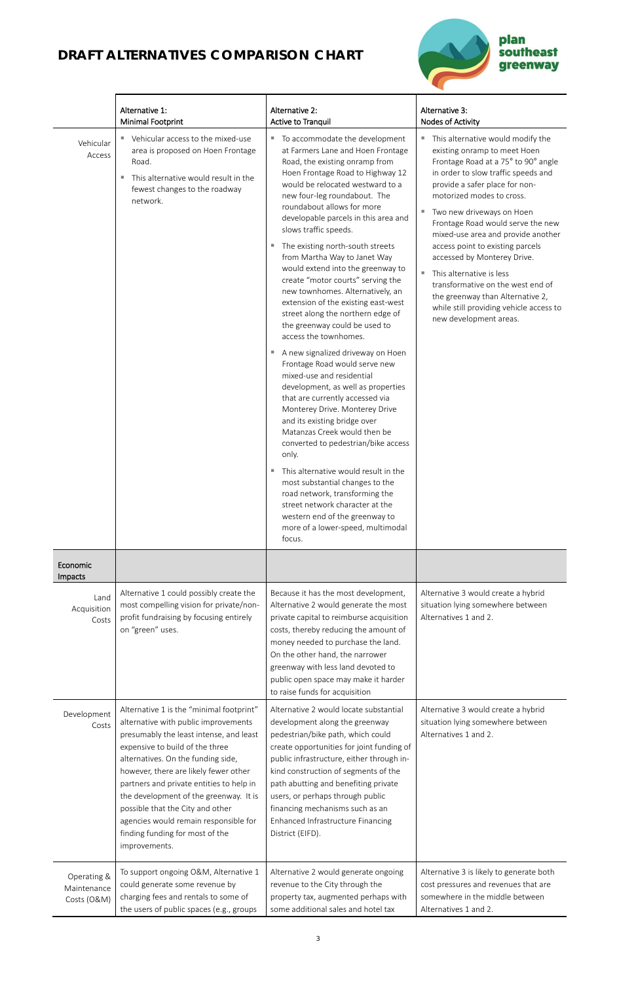

|                                           | Alternative 1:<br><b>Minimal Footprint</b>                                                                                                                                                                                                                                                                                                                                                                                                                           | Alternative 2:<br>Active to Tranquil                                                                                                                                                                                                                                                                                                                                                                                                                                                                                                                                                                                                                                                                                                                                                                                                                                                                                                                                                                                                                                                                                                                                                                                          | Alternative 3:<br>Nodes of Activity                                                                                                                                                                                                                                                                                                                                                                                                                                                                                                                                                           |
|-------------------------------------------|----------------------------------------------------------------------------------------------------------------------------------------------------------------------------------------------------------------------------------------------------------------------------------------------------------------------------------------------------------------------------------------------------------------------------------------------------------------------|-------------------------------------------------------------------------------------------------------------------------------------------------------------------------------------------------------------------------------------------------------------------------------------------------------------------------------------------------------------------------------------------------------------------------------------------------------------------------------------------------------------------------------------------------------------------------------------------------------------------------------------------------------------------------------------------------------------------------------------------------------------------------------------------------------------------------------------------------------------------------------------------------------------------------------------------------------------------------------------------------------------------------------------------------------------------------------------------------------------------------------------------------------------------------------------------------------------------------------|-----------------------------------------------------------------------------------------------------------------------------------------------------------------------------------------------------------------------------------------------------------------------------------------------------------------------------------------------------------------------------------------------------------------------------------------------------------------------------------------------------------------------------------------------------------------------------------------------|
| Vehicular<br>Access                       | Vehicular access to the mixed-use<br>a.<br>area is proposed on Hoen Frontage<br>Road.<br>This alternative would result in the<br>fewest changes to the roadway<br>network.                                                                                                                                                                                                                                                                                           | To accommodate the development<br>and the<br>at Farmers Lane and Hoen Frontage<br>Road, the existing onramp from<br>Hoen Frontage Road to Highway 12<br>would be relocated westward to a<br>new four-leg roundabout. The<br>roundabout allows for more<br>developable parcels in this area and<br>slows traffic speeds.<br>The existing north-south streets<br>ш<br>from Martha Way to Janet Way<br>would extend into the greenway to<br>create "motor courts" serving the<br>new townhomes. Alternatively, an<br>extension of the existing east-west<br>street along the northern edge of<br>the greenway could be used to<br>access the townhomes.<br>A new signalized driveway on Hoen<br>ш<br>Frontage Road would serve new<br>mixed-use and residential<br>development, as well as properties<br>that are currently accessed via<br>Monterey Drive. Monterey Drive<br>and its existing bridge over<br>Matanzas Creek would then be<br>converted to pedestrian/bike access<br>only.<br>This alternative would result in the<br>ш<br>most substantial changes to the<br>road network, transforming the<br>street network character at the<br>western end of the greenway to<br>more of a lower-speed, multimodal<br>focus. | This alternative would modify the<br>ш<br>existing onramp to meet Hoen<br>Frontage Road at a 75° to 90° angle<br>in order to slow traffic speeds and<br>provide a safer place for non-<br>motorized modes to cross.<br>Two new driveways on Hoen<br>ш<br>Frontage Road would serve the new<br>mixed-use area and provide another<br>access point to existing parcels<br>accessed by Monterey Drive.<br>This alternative is less<br>$\mathbf{u}$<br>transformative on the west end of<br>the greenway than Alternative 2,<br>while still providing vehicle access to<br>new development areas. |
| Economic<br>Impacts                       |                                                                                                                                                                                                                                                                                                                                                                                                                                                                      |                                                                                                                                                                                                                                                                                                                                                                                                                                                                                                                                                                                                                                                                                                                                                                                                                                                                                                                                                                                                                                                                                                                                                                                                                               |                                                                                                                                                                                                                                                                                                                                                                                                                                                                                                                                                                                               |
| Land<br>Acquisition<br>Costs              | Alternative 1 could possibly create the<br>most compelling vision for private/non-<br>profit fundraising by focusing entirely<br>on "green" uses.                                                                                                                                                                                                                                                                                                                    | Because it has the most development,<br>Alternative 2 would generate the most<br>private capital to reimburse acquisition<br>costs, thereby reducing the amount of<br>money needed to purchase the land.<br>On the other hand, the narrower<br>greenway with less land devoted to<br>public open space may make it harder<br>to raise funds for acquisition                                                                                                                                                                                                                                                                                                                                                                                                                                                                                                                                                                                                                                                                                                                                                                                                                                                                   | Alternative 3 would create a hybrid<br>situation lying somewhere between<br>Alternatives 1 and 2.                                                                                                                                                                                                                                                                                                                                                                                                                                                                                             |
| Development<br>Costs                      | Alternative 1 is the "minimal footprint"<br>alternative with public improvements<br>presumably the least intense, and least<br>expensive to build of the three<br>alternatives. On the funding side,<br>however, there are likely fewer other<br>partners and private entities to help in<br>the development of the greenway. It is<br>possible that the City and other<br>agencies would remain responsible for<br>finding funding for most of the<br>improvements. | Alternative 2 would locate substantial<br>development along the greenway<br>pedestrian/bike path, which could<br>create opportunities for joint funding of<br>public infrastructure, either through in-<br>kind construction of segments of the<br>path abutting and benefiting private<br>users, or perhaps through public<br>financing mechanisms such as an<br>Enhanced Infrastructure Financing<br>District (EIFD).                                                                                                                                                                                                                                                                                                                                                                                                                                                                                                                                                                                                                                                                                                                                                                                                       | Alternative 3 would create a hybrid<br>situation lying somewhere between<br>Alternatives 1 and 2.                                                                                                                                                                                                                                                                                                                                                                                                                                                                                             |
| Operating &<br>Maintenance<br>Costs (O&M) | To support ongoing O&M, Alternative 1<br>could generate some revenue by<br>charging fees and rentals to some of<br>the users of public spaces (e.g., groups                                                                                                                                                                                                                                                                                                          | Alternative 2 would generate ongoing<br>revenue to the City through the<br>property tax, augmented perhaps with<br>some additional sales and hotel tax                                                                                                                                                                                                                                                                                                                                                                                                                                                                                                                                                                                                                                                                                                                                                                                                                                                                                                                                                                                                                                                                        | Alternative 3 is likely to generate both<br>cost pressures and revenues that are<br>somewhere in the middle between<br>Alternatives 1 and 2.                                                                                                                                                                                                                                                                                                                                                                                                                                                  |